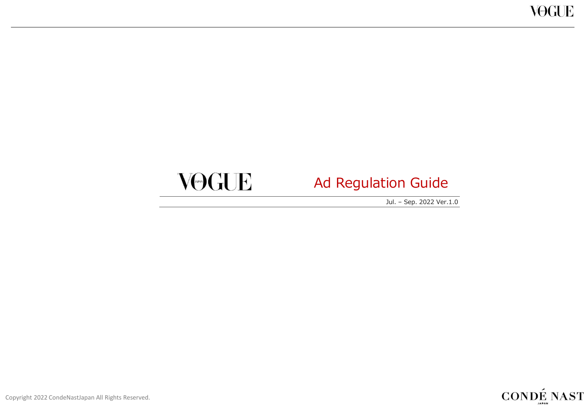# VOGUE

# Ad Regulation Guide

Jul. – Sep. 2022 Ver.1.0

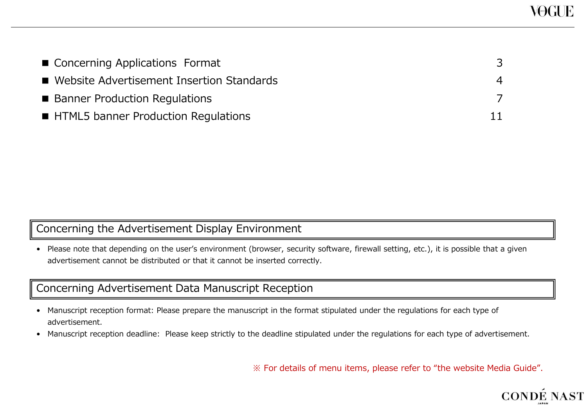| ■ Concerning Applications Format            |  |
|---------------------------------------------|--|
| ■ Website Advertisement Insertion Standards |  |
| ■ Banner Production Regulations             |  |
| <b>HTML5 banner Production Regulations</b>  |  |

## Concerning the Advertisement Display Environment

• Please note that depending on the user's environment (browser, security software, firewall setting, etc.), it is possible that a given advertisement cannot be distributed or that it cannot be inserted correctly.

### Concerning Advertisement Data Manuscript Reception

- Manuscript reception format: Please prepare the manuscript in the format stipulated under the regulations for each type of advertisement.
- Manuscript reception deadline: Please keep strictly to the deadline stipulated under the regulations for each type of advertisement.

※ For details of menu items, please refer to "the website Media Guide".

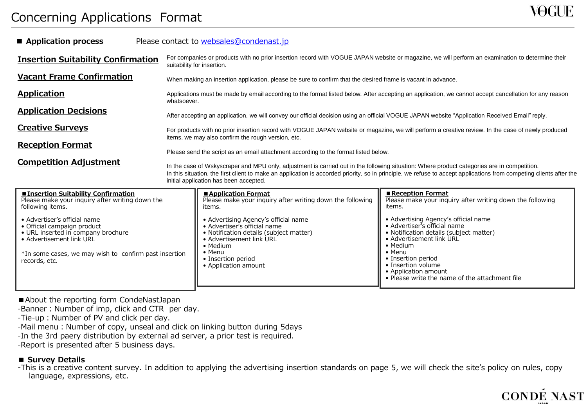## Concerning Applications Format

| Application process                                                                                                           | Please contact to websales@condenast.jp                                                                                                                                                                                                                                                                                                                      |                                                                                                                                                         |                                                                                                                                                         |  |  |
|-------------------------------------------------------------------------------------------------------------------------------|--------------------------------------------------------------------------------------------------------------------------------------------------------------------------------------------------------------------------------------------------------------------------------------------------------------------------------------------------------------|---------------------------------------------------------------------------------------------------------------------------------------------------------|---------------------------------------------------------------------------------------------------------------------------------------------------------|--|--|
| <b>Insertion Suitability Confirmation</b>                                                                                     | For companies or products with no prior insertion record with VOGUE JAPAN website or magazine, we will perform an examination to determine their<br>suitability for insertion.                                                                                                                                                                               |                                                                                                                                                         |                                                                                                                                                         |  |  |
| <b>Vacant Frame Confirmation</b>                                                                                              |                                                                                                                                                                                                                                                                                                                                                              | When making an insertion application, please be sure to confirm that the desired frame is vacant in advance.                                            |                                                                                                                                                         |  |  |
| Application                                                                                                                   | Applications must be made by email according to the format listed below. After accepting an application, we cannot accept cancellation for any reason<br>whatsoever.                                                                                                                                                                                         |                                                                                                                                                         |                                                                                                                                                         |  |  |
| <b>Application Decisions</b>                                                                                                  | After accepting an application, we will convey our official decision using an official VOGUE JAPAN website "Application Received Email" reply.                                                                                                                                                                                                               |                                                                                                                                                         |                                                                                                                                                         |  |  |
| <b>Creative Surveys</b>                                                                                                       | For products with no prior insertion record with VOGUE JAPAN website or magazine, we will perform a creative review. In the case of newly produced                                                                                                                                                                                                           |                                                                                                                                                         |                                                                                                                                                         |  |  |
| <b>Reception Format</b>                                                                                                       | items, we may also confirm the rough version, etc.<br>Please send the script as an email attachment according to the format listed below.                                                                                                                                                                                                                    |                                                                                                                                                         |                                                                                                                                                         |  |  |
| <b>Competition Adjustment</b>                                                                                                 | In the case of Wskyscraper and MPU only, adjustment is carried out in the following situation: Where product categories are in competition.<br>In this situation, the first client to make an application is accorded priority, so in principle, we refuse to accept applications from competing clients after the<br>initial application has been accepted. |                                                                                                                                                         |                                                                                                                                                         |  |  |
| <b>Insertion Suitability Confirmation</b><br>Please make your inquiry after writing down the<br>following items.              |                                                                                                                                                                                                                                                                                                                                                              | Application Format<br>Please make your inguiry after writing down the following<br>items.                                                               | Reception Format<br>Please make your inquiry after writing down the following<br>items.                                                                 |  |  |
| • Advertiser's official name<br>• Official campaign product<br>• URL inserted in company brochure<br>• Advertisement link URL |                                                                                                                                                                                                                                                                                                                                                              | • Advertising Agency's official name<br>• Advertiser's official name<br>• Notification details (subject matter)<br>• Advertisement link URL<br>• Medium | • Advertising Agency's official name<br>• Advertiser's official name<br>• Notification details (subject matter)<br>• Advertisement link URL<br>• Medium |  |  |
| *In some cases, we may wish to confirm past insertion<br>records, etc.                                                        |                                                                                                                                                                                                                                                                                                                                                              | $\bullet$ Menu<br>• Insertion period<br>• Application amount                                                                                            | $\bullet$ Menu<br>• Insertion period<br>• Insertion volume                                                                                              |  |  |

• Application amount

• Please write the name of the attachment file

■ About the reporting form CondeNastJapan

-Banner: Number of imp, click and CTR per day.

-Tie-up: Number of PV and click per day.

-Mail menu: Number of copy, unseal and click on linking button during 5days

-In the 3rd paery distribution by external ad server, a prior test is required.

-Report is presented after 5 business days.

#### ■ **Survey Details**

-This is a creative content survey. In addition to applying the advertising insertion standards on page 5, we will check the site's policy on rules, copy language, expressions, etc.

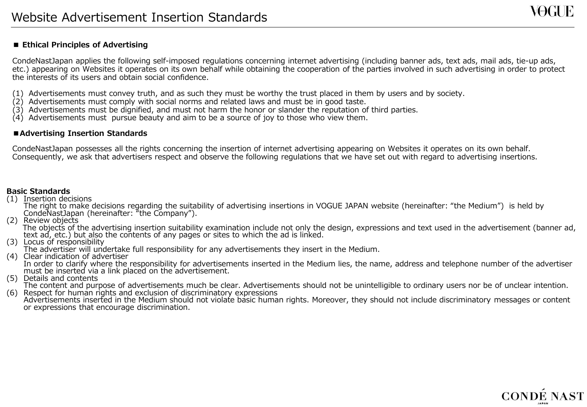#### **■ Ethical Principles of Advertising**

CondeNastJapan applies the following self-imposed regulations concerning internet advertising (including banner ads, text ads, mail ads, tie-up ads, etc.) appearing on Websites it operates on its own behalf while obtaining the cooperation of the parties involved in such advertising in order to protect the interests of its users and obtain social confidence.

- (1) Advertisements must convey truth, and as such they must be worthy the trust placed in them by users and by society.
- (2) Advertisements must comply with social norms and related laws and must be in good taste.
- (3) Advertisements must be dignified, and must not harm the honor or slander the reputation of third parties.
- $(4)$  Advertisements must pursue beauty and aim to be a source of joy to those who view them.

#### **■Advertising Insertion Standards**

CondeNastJapan possesses all the rights concerning the insertion of internet advertising appearing on Websites it operates on its own behalf. Consequently, we ask that advertisers respect and observe the following regulations that we have set out with regard to advertising insertions.

#### **Basic Standards**

(1) Insertion decisions

The right to make decisions regarding the suitability of advertising insertions in VOGUE JAPAN website (hereinafter: "the Medium") is held by CondeNastJapan (hereinafter: "the Company").

(2) Review objects

The objects of the advertising insertion suitability examination include not only the design, expressions and text used in the advertisement (banner ad, text ad, etc.) but also the contents of any pages or sites to which the ad is linked.

(3) Locus of responsibility

The advertiser will undertake full responsibility for any advertisements they insert in the Medium.

- (4) Clear indication of advertiser In order to clarify where the responsibility for advertisements inserted in the Medium lies, the name, address and telephone number of the advertiser must be inserted via a link placed on the advertisement.
- (5) Details and contents

The content and purpose of advertisements much be clear. Advertisements should not be unintelligible to ordinary users nor be of unclear intention.

(6) Respect for human rights and exclusion of discriminatory expressions Advertisements inserted in the Medium should not violate basic human rights. Moreover, they should not include discriminatory messages or content or expressions that encourage discrimination.

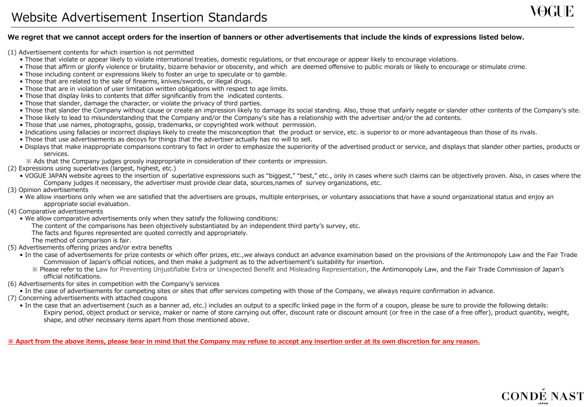(1) Advertisement contents for which insertion is not permitted

- Those that violate or appear likely to violate international treaties, domestic regulations, or that encourage or appear likely to encourage violations.
- Those that affirm or glorify violence or brutality, bizarre behavior or obscenity, and which are deemed offensive to public morals or likely to encourage or stimulate crime.
- Those including content or expressions likely to foster an urge to speculate or to gamble.
- Those that are related to the sale of firearms, knives/swords, or illegal drugs.
- Those that are in violation of user limitation written obligations with respect to age limits.
- Those that display links to contents that differ significantly from the indicated contents.
- Those that slander, damage the character, or violate the privacy of third parties.
- Those that slander the Company without cause or create an impression likely to damage its social standing. Also, those that unfairly negate or slander other contents of the Company's site.
- Those likely to lead to misunderstanding that the Company and/or the Company's site has a relationship with the advertiser and/or the ad contents.
- Those that use names, photographs, gossip, trademarks, or copyrighted work without permission.
- Indications using fallacies or incorrect displays likely to create the misconception that the product or service, etc. is superior to or more advantageous than those of its rivals.
- Those that use advertisements as decoys for things that the advertiser actually has no will to sell.
- Displays that make inappropriate comparisons contrary to fact in order to emphasize the superiority of the advertised product or service, and displays that slander other parties, products or services.
- ※ Ads that the Company judges grossly inappropriate in consideration of their contents or impression.
- (2) Expressions using superlatives (largest, highest, etc.)
	- VOGUE JAPAN website agrees to the insertion of superlative expressions such as "biggest," "best," etc., only in cases where such claims can be objectively proven. Also, in cases where the Company judges it necessary, the advertiser must provide clear data, sources,names of survey organizations, etc.
- (3) Opinion advertisements
	- We allow insertions only when we are satisfied that the advertisers are groups, multiple enterprises, or voluntary associations that have a sound organizational status and enjoy an appropriate social evaluation.
- (4) Comparative advertisements
	- We allow comparative advertisements only when they satisfy the following conditions:
		- The content of the comparisons has been objectively substantiated by an independent third party's survey, etc.
		- The facts and figures represented are quoted correctly and appropriately.
		- The method of comparison is fair.
- (5) Advertisements offering prizes and/or extra benefits
	- In the case of advertisements for prize contests or which offer prizes, etc.,we always conduct an advance examination based on the provisions of the Antimonopoly Law and the Fair Trade Commission of Japan's official notices, and then make a judgment as to the advertisement's suitability for insertion.
		- ※ Please refer to the Law for Preventing Unjustifiable Extra or Unexpected Benefit and Misleading Representation, the Antimonopoly Law, and the Fair Trade Commission of Japan's official notifications.
- (6) Advertisements for sites in competition with the Company's services
	- In the case of advertisements for competing sites or sites that offer services competing with those of the Company, we always require confirmation in advance.
- (7) Concerning advertisements with attached coupons
	- In the case that an advertisement (such as a banner ad, etc.) includes an output to a specific linked page in the form of a coupon, please be sure to provide the following details: Expiry period, object product or service, maker or name of store carrying out offer, discount rate or discount amount (or free in the case of a free offer), product quantity, weight, shape, and other necessary items apart from those mentioned above.

**※ Apart from the above items, please bear in mind that the Company may refuse to accept any insertion order at its own discretion for any reason.**



VOGI IE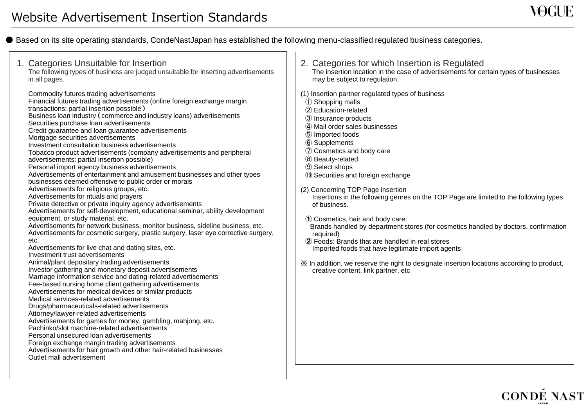● Based on its site operating standards, CondeNastJapan has established the following menu-classified regulated business categories.

| 1. Categories Unsuitable for Insertion<br>The following types of business are judged unsuitable for inserting advertisements<br>in all pages.                                                                                                                                                                                                                                                                                                                                                                                                                                                                                                                                                                                                                                                                                                                                                                                                                                                                                                                                                                                                                                                                                                                                                                                                                                                                                                                                                                                                                                                                                                                                                                                                                                                                                                                                                                                                                                                                                                               | 2. Categories for which Insertion is Regulated<br>The insertion location in the case of advertisements for certain types of businesses<br>may be subject to regulation.                                                                                                                                                                                                                                                                                                                                                                                                                                                                                                                                                                                                                                                                         |
|-------------------------------------------------------------------------------------------------------------------------------------------------------------------------------------------------------------------------------------------------------------------------------------------------------------------------------------------------------------------------------------------------------------------------------------------------------------------------------------------------------------------------------------------------------------------------------------------------------------------------------------------------------------------------------------------------------------------------------------------------------------------------------------------------------------------------------------------------------------------------------------------------------------------------------------------------------------------------------------------------------------------------------------------------------------------------------------------------------------------------------------------------------------------------------------------------------------------------------------------------------------------------------------------------------------------------------------------------------------------------------------------------------------------------------------------------------------------------------------------------------------------------------------------------------------------------------------------------------------------------------------------------------------------------------------------------------------------------------------------------------------------------------------------------------------------------------------------------------------------------------------------------------------------------------------------------------------------------------------------------------------------------------------------------------------|-------------------------------------------------------------------------------------------------------------------------------------------------------------------------------------------------------------------------------------------------------------------------------------------------------------------------------------------------------------------------------------------------------------------------------------------------------------------------------------------------------------------------------------------------------------------------------------------------------------------------------------------------------------------------------------------------------------------------------------------------------------------------------------------------------------------------------------------------|
| Commodity futures trading advertisements<br>Financial futures trading advertisements (online foreign exchange margin<br>transactions: partial insertion possible)<br>Business loan industry (commerce and industry loans) advertisements<br>Securities purchase loan advertisements<br>Credit guarantee and loan guarantee advertisements<br>Mortgage securities advertisements<br>Investment consultation business advertisements<br>Tobacco product advertisements (company advertisements and peripheral<br>advertisements: partial insertion possible)<br>Personal import agency business advertisements<br>Advertisements of entertainment and amusement businesses and other types<br>businesses deemed offensive to public order or morals<br>Advertisements for religious groups, etc.<br>Advertisements for rituals and prayers<br>Private detective or private inquiry agency advertisements<br>Advertisements for self-development, educational seminar, ability development<br>equipment, or study material, etc.<br>Advertisements for network business, monitor business, sideline business, etc.<br>Advertisements for cosmetic surgery, plastic surgery, laser eye corrective surgery,<br>etc.<br>Advertisements for live chat and dating sites, etc.<br>Investment trust advertisements<br>Animal/plant depositary trading advertisements<br>Investor gathering and monetary deposit advertisements<br>Marriage information service and dating-related advertisements<br>Fee-based nursing home client gathering advertisements<br>Advertisements for medical devices or similar products<br>Medical services-related advertisements<br>Drugs/pharmaceuticals-related advertisements<br>Attorney/lawyer-related advertisements<br>Advertisements for games for money, gambling, mahjong, etc.<br>Pachinko/slot machine-related advertisements<br>Personal unsecured loan advertisements<br>Foreign exchange margin trading advertisements<br>Advertisements for hair growth and other hair-related businesses<br>Outlet mall advertisement | (1) Insertion partner regulated types of business<br>1 Shopping malls<br>2 Education-related<br>3 Insurance products<br>4) Mail order sales businesses<br>5 Imported foods<br>6 Supplements<br>7 Cosmetics and body care<br>8 Beauty-related<br><b>9 Select shops</b><br>10 Securities and foreign exchange<br>(2) Concerning TOP Page insertion<br>Insertions in the following genres on the TOP Page are limited to the following types<br>of business.<br>1 Cosmetics, hair and body care:<br>Brands handled by department stores (for cosmetics handled by doctors, confirmation<br>required)<br>2 Foods: Brands that are handled in real stores<br>Imported foods that have legitimate import agents<br>※ In addition, we reserve the right to designate insertion locations according to product,<br>creative content, link partner, etc. |

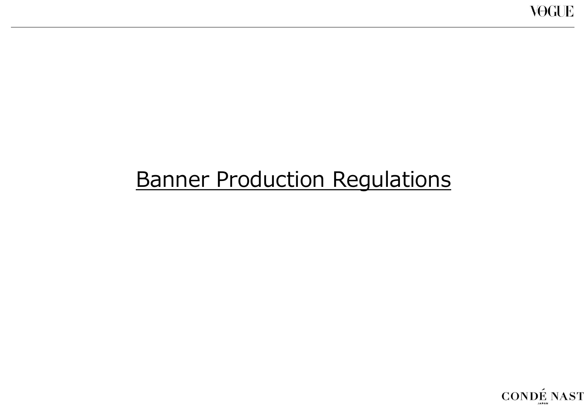# Banner Production Regulations

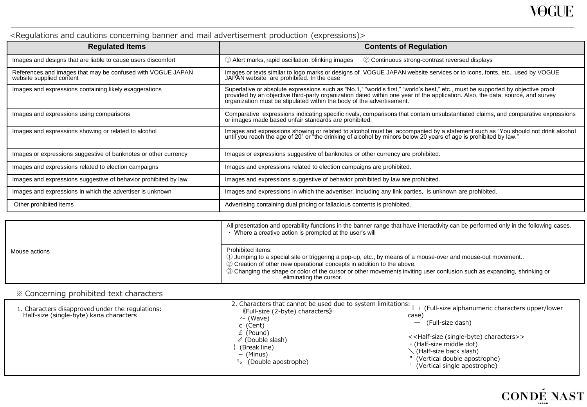#### <Regulations and cautions concerning banner and mail advertisement production (expressions)>

| <b>Regulated Items</b>                                                                  | <b>Contents of Regulation</b>                                                                                                                                                                                                                                                                                                              |
|-----------------------------------------------------------------------------------------|--------------------------------------------------------------------------------------------------------------------------------------------------------------------------------------------------------------------------------------------------------------------------------------------------------------------------------------------|
| Images and designs that are liable to cause users discomfort                            | 1) Alert marks, rapid oscillation, blinking images<br>2 Continuous strong-contrast reversed displays                                                                                                                                                                                                                                       |
| References and images that may be confused with VOGUE JAPAN<br>website supplied content | Images or texts similar to logo marks or designs of VOGUE JAPAN website services or to icons, fonts, etc., used by VOGUE<br>JAPAN website are prohibited. In the case                                                                                                                                                                      |
| Images and expressions containing likely exaggerations                                  | Superlative or absolute expressions such as "No.1," "world's first," "world's best," etc., must be supported by objective proof<br>provided by an objective third-party organization dated within one year of the application. Also, the data, source, and survey<br>organization must be stipulated within the body of the advertisement. |
| Images and expressions using comparisons                                                | Comparative expressions indicating specific rivals, comparisons that contain unsubstantiated claims, and comparative expressions or images made based unfair standards are prohibited.                                                                                                                                                     |
| Images and expressions showing or related to alcohol                                    | Images and expressions showing or related to alcohol must be accompanied by a statement such as "You should not drink alcohol<br>until you reach the age of 20" or "the drinking of alcohol by minors below 20 years of age is pr                                                                                                          |
| Images or expressions suggestive of banknotes or other currency                         | Images or expressions suggestive of banknotes or other currency are prohibited.                                                                                                                                                                                                                                                            |
| Images and expressions related to election campaigns                                    | Images and expressions related to election campaigns are prohibited.                                                                                                                                                                                                                                                                       |
| Images and expressions suggestive of behavior prohibited by law                         | Images and expressions suggestive of behavior prohibited by law are prohibited.                                                                                                                                                                                                                                                            |
| Images and expressions in which the advertiser is unknown                               | Images and expressions in which the advertiser, including any link parties, is unknown are prohibited.                                                                                                                                                                                                                                     |
| Other prohibited items                                                                  | Advertising containing dual pricing or fallacious contents is prohibited.                                                                                                                                                                                                                                                                  |

|               | All presentation and operability functions in the banner range that have interactivity can be performed only in the following cases.<br>Where a creative action is prompted at the user's will                                                                                                                                                                   |  |
|---------------|------------------------------------------------------------------------------------------------------------------------------------------------------------------------------------------------------------------------------------------------------------------------------------------------------------------------------------------------------------------|--|
| Mouse actions | Prohibited items:<br>(1) Jumping to a special site or triggering a pop-up, etc., by means of a mouse-over and mouse-out movement<br>2 Creation of other new operational concepts in addition to the above.<br>3) Changing the shape or color of the cursor or other movements inviting user confusion such as expanding, shrinking or<br>eliminating the cursor. |  |

#### ※ Concerning prohibited text characters

| 1. Characters disapproved under the regulations:<br>Half-size (single-byte) kana characters | 2. Characters that cannot be used due to system limitations:<br>(Full-size (2-byte) characters)<br>$\sim$ (Wave)<br>$\upphi$ (Cent)<br>£ (Pound)<br>$\mathscr{D}$ (Double slash)<br>(Break line)<br>– (Minus)<br>(Double apostrophe) | (Full-size alphanumeric characters upper/lower<br>case<br>(Full-size dash)<br>< <half-size (single-byte)="" characters="">&gt;<br/><math>\cdot</math> (Half-size middle dot)<br/>. (Half-size back slash)<br/>" (Vertical double apostrophe)<br/>(Vertical single apostrophe)</half-size> |
|---------------------------------------------------------------------------------------------|--------------------------------------------------------------------------------------------------------------------------------------------------------------------------------------------------------------------------------------|-------------------------------------------------------------------------------------------------------------------------------------------------------------------------------------------------------------------------------------------------------------------------------------------|
|---------------------------------------------------------------------------------------------|--------------------------------------------------------------------------------------------------------------------------------------------------------------------------------------------------------------------------------------|-------------------------------------------------------------------------------------------------------------------------------------------------------------------------------------------------------------------------------------------------------------------------------------------|

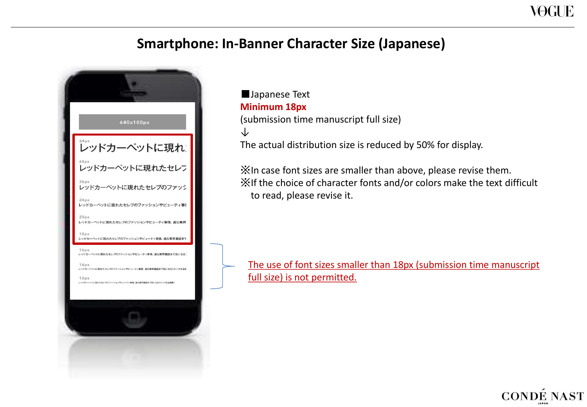## **Smartphone: In-Banner Character Size (Japanese)**



## ■Japanese Text **Minimum 18px** (submission time manuscript full size) ↓ The actual distribution size is reduced by 50% for display.

※In case font sizes are smaller than above, please revise them. ※If the choice of character fonts and/or colors make the text difficult to read, please revise it.

The use of font sizes smaller than 18px (submission time manuscript full size) is not permitted.